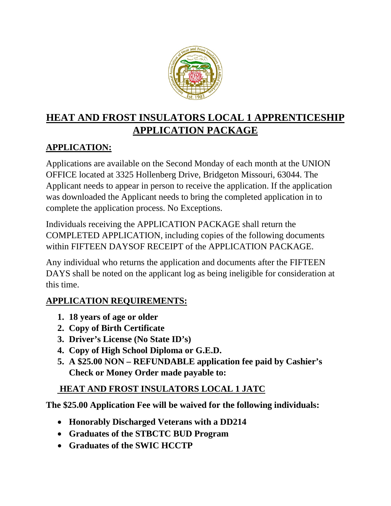

# **HEAT AND FROST INSULATORS LOCAL 1 APPRENTICESHIP APPLICATION PACKAGE**

## *<sup>U</sup>***APPLICATION:**

Applications are available on the Second Monday of each month at the UNION OFFICE located at 3325 Hollenberg Drive, Bridgeton Missouri, 63044. The Applicant needs to appear in person to receive the application. If the application was downloaded the Applicant needs to bring the completed application in to complete the application process. No Exceptions.

Individuals receiving the APPLICATION PACKAGE shall return the COMPLETED APPLICATION, including copies of the following documents within FIFTEEN DAYSOF RECEIPT of the APPLICATION PACKAGE.

Any individual who returns the application and documents after the FIFTEEN DAYS shall be noted on the applicant log as being ineligible for consideration at this time.

#### *<sup>U</sup>***APPLICATION REQUIREMENTS:**

- **1. 18 years of age or older**
- **2. Copy of Birth Certificate**
- **3. Driver's License (No State ID's)**
- **4. Copy of High School Diploma or G.E.D.**
- **5. A \$25.00 NON – REFUNDABLE application fee paid by Cashier's Check or Money Order made payable to:**

#### *<sup>U</sup>* **HEAT AND FROST INSULATORS LOCAL 1 JATC**

**The \$25.00 Application Fee will be waived for the following individuals:**

- **Honorably Discharged Veterans with a DD214**
- **Graduates of the STBCTC BUD Program**
- **Graduates of the SWIC HCCTP**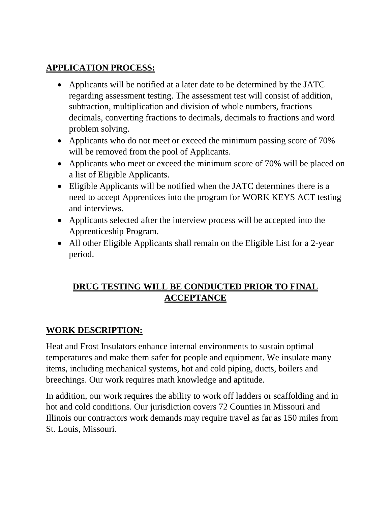#### *<sup>U</sup>***APPLICATION PROCESS:**

- Applicants will be notified at a later date to be determined by the JATC regarding assessment testing. The assessment test will consist of addition, subtraction, multiplication and division of whole numbers, fractions decimals, converting fractions to decimals, decimals to fractions and word problem solving.
- Applicants who do not meet or exceed the minimum passing score of 70% will be removed from the pool of Applicants.
- Applicants who meet or exceed the minimum score of 70% will be placed on a list of Eligible Applicants.
- Eligible Applicants will be notified when the JATC determines there is a need to accept Apprentices into the program for WORK KEYS ACT testing and interviews.
- Applicants selected after the interview process will be accepted into the Apprenticeship Program.
- All other Eligible Applicants shall remain on the Eligible List for a 2-year period.

#### *<sup>U</sup>***DRUG TESTING WILL BE CONDUCTED PRIOR TO FINAL ACCEPTANCE**

### *<sup>U</sup>***WORK DESCRIPTION:**

Heat and Frost Insulators enhance internal environments to sustain optimal temperatures and make them safer for people and equipment. We insulate many items, including mechanical systems, hot and cold piping, ducts, boilers and breechings. Our work requires math knowledge and aptitude.

In addition, our work requires the ability to work off ladders or scaffolding and in hot and cold conditions. Our jurisdiction covers 72 Counties in Missouri and Illinois our contractors work demands may require travel as far as 150 miles from St. Louis, Missouri.